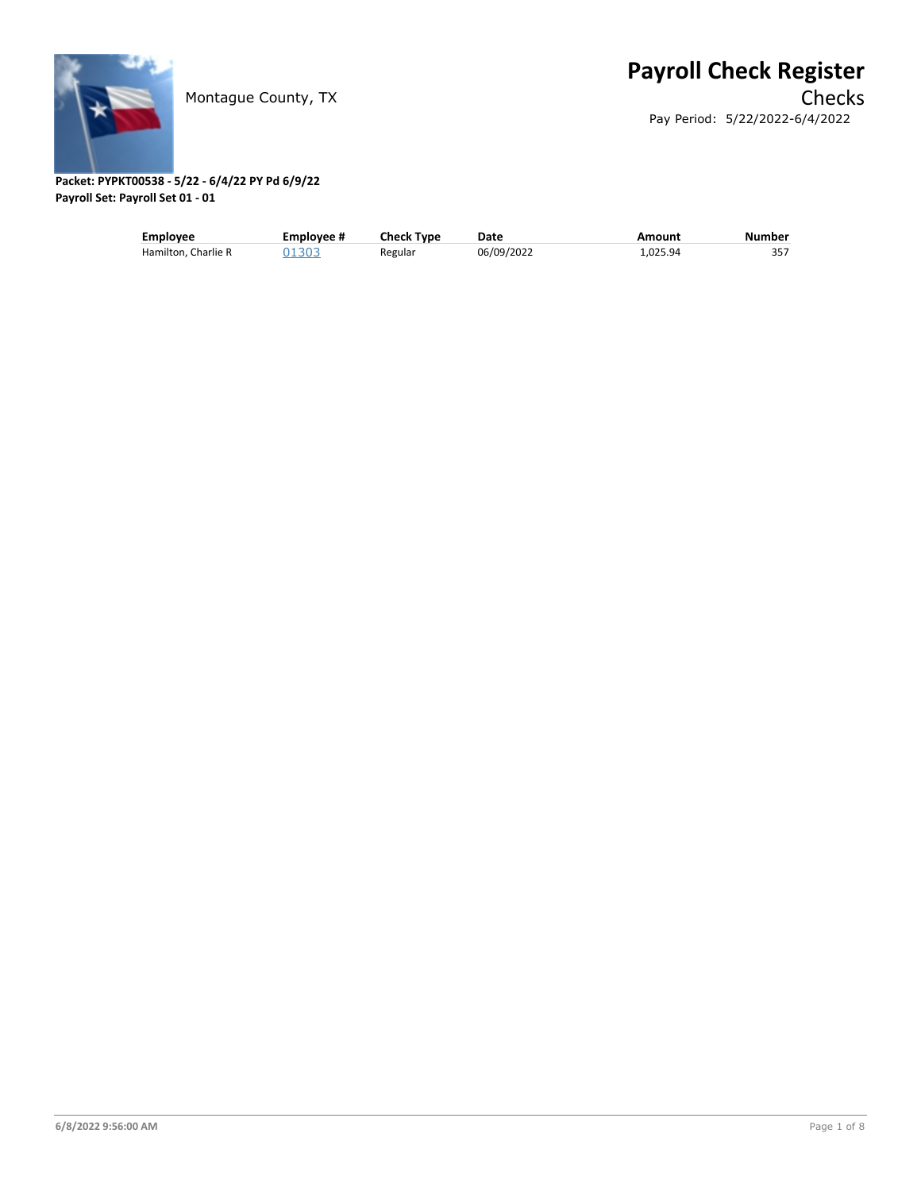

| <b>Employee</b>     | Employee # | <b>Check Type</b> | Date       | Amount   | Number |
|---------------------|------------|-------------------|------------|----------|--------|
| Hamilton, Charlie R | 01303      | Regular           | 06/09/2022 | 1.025.94 | 357    |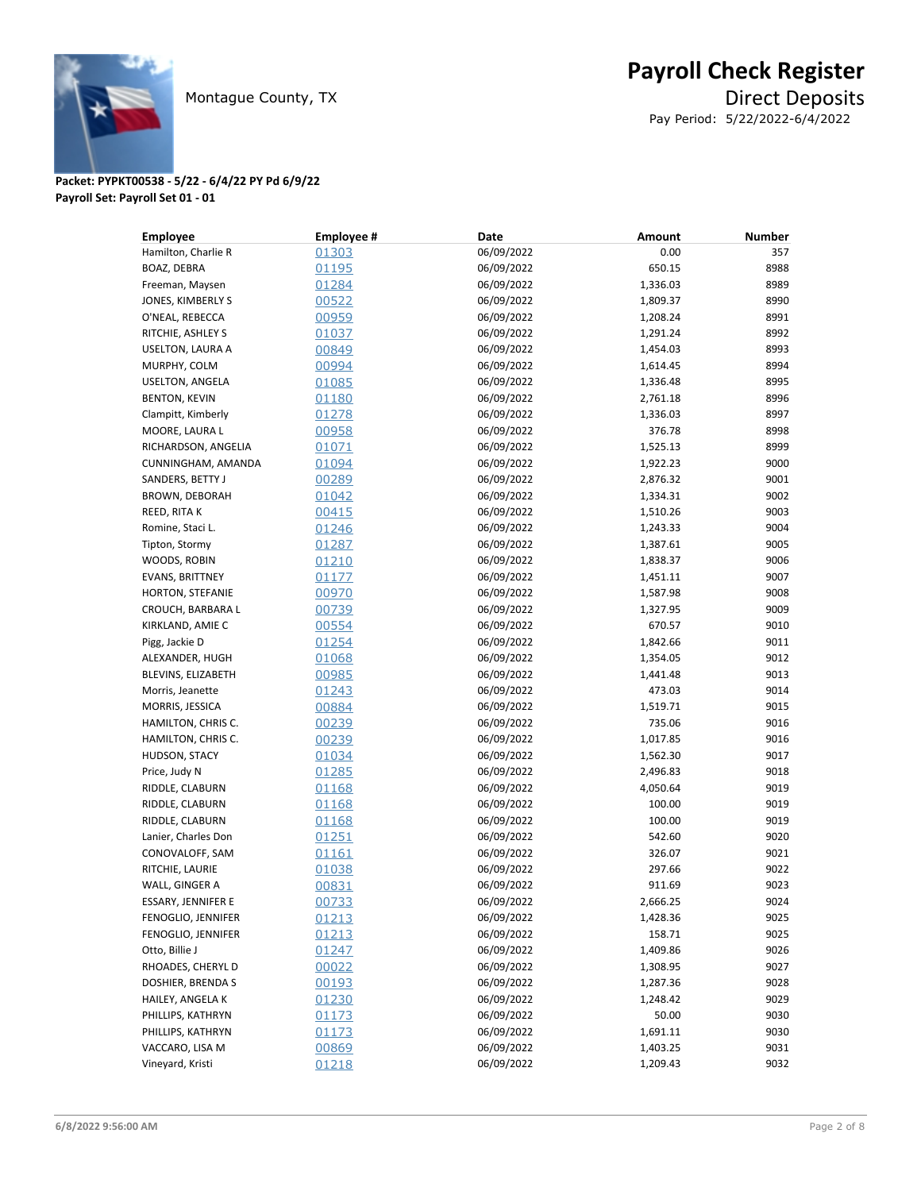

| <b>Employee</b>        | <b>Employee#</b> | Date       | Amount   | <b>Number</b> |
|------------------------|------------------|------------|----------|---------------|
| Hamilton, Charlie R    | 01303            | 06/09/2022 | 0.00     | 357           |
| BOAZ, DEBRA            | 01195            | 06/09/2022 | 650.15   | 8988          |
| Freeman, Maysen        | 01284            | 06/09/2022 | 1,336.03 | 8989          |
| JONES, KIMBERLY S      | 00522            | 06/09/2022 | 1,809.37 | 8990          |
| O'NEAL, REBECCA        | 00959            | 06/09/2022 | 1,208.24 | 8991          |
| RITCHIE, ASHLEY S      | 01037            | 06/09/2022 | 1,291.24 | 8992          |
| USELTON, LAURA A       | 00849            | 06/09/2022 | 1,454.03 | 8993          |
| MURPHY, COLM           | 00994            | 06/09/2022 | 1,614.45 | 8994          |
| USELTON, ANGELA        | 01085            | 06/09/2022 | 1,336.48 | 8995          |
| <b>BENTON, KEVIN</b>   | 01180            | 06/09/2022 | 2,761.18 | 8996          |
| Clampitt, Kimberly     | 01278            | 06/09/2022 | 1,336.03 | 8997          |
| MOORE, LAURA L         | 00958            | 06/09/2022 | 376.78   | 8998          |
| RICHARDSON, ANGELIA    | 01071            | 06/09/2022 | 1,525.13 | 8999          |
| CUNNINGHAM, AMANDA     | 01094            | 06/09/2022 | 1,922.23 | 9000          |
| SANDERS, BETTY J       | 00289            | 06/09/2022 | 2,876.32 | 9001          |
| BROWN, DEBORAH         | 01042            | 06/09/2022 | 1,334.31 | 9002          |
| REED, RITA K           | 00415            | 06/09/2022 | 1,510.26 | 9003          |
| Romine, Staci L.       | 01246            | 06/09/2022 | 1,243.33 | 9004          |
| Tipton, Stormy         | 01287            | 06/09/2022 | 1,387.61 | 9005          |
| WOODS, ROBIN           | 01210            | 06/09/2022 | 1,838.37 | 9006          |
| <b>EVANS, BRITTNEY</b> | 01177            | 06/09/2022 | 1,451.11 | 9007          |
| HORTON, STEFANIE       | 00970            | 06/09/2022 | 1,587.98 | 9008          |
| CROUCH, BARBARA L      | 00739            | 06/09/2022 | 1,327.95 | 9009          |
| KIRKLAND, AMIE C       | 00554            | 06/09/2022 | 670.57   | 9010          |
| Pigg, Jackie D         | 01254            | 06/09/2022 | 1,842.66 | 9011          |
| ALEXANDER, HUGH        | 01068            | 06/09/2022 | 1,354.05 | 9012          |
| BLEVINS, ELIZABETH     | 00985            | 06/09/2022 | 1,441.48 | 9013          |
| Morris, Jeanette       | 01243            | 06/09/2022 | 473.03   | 9014          |
| MORRIS, JESSICA        | 00884            | 06/09/2022 | 1,519.71 | 9015          |
| HAMILTON, CHRIS C.     | 00239            | 06/09/2022 | 735.06   | 9016          |
| HAMILTON, CHRIS C.     | 00239            | 06/09/2022 | 1,017.85 | 9016          |
| HUDSON, STACY          | 01034            | 06/09/2022 | 1,562.30 | 9017          |
| Price, Judy N          | 01285            | 06/09/2022 | 2,496.83 | 9018          |
| RIDDLE, CLABURN        | 01168            | 06/09/2022 | 4,050.64 | 9019          |
| RIDDLE, CLABURN        | 01168            | 06/09/2022 | 100.00   | 9019          |
| RIDDLE, CLABURN        | 01168            | 06/09/2022 | 100.00   | 9019          |
| Lanier, Charles Don    | 01251            | 06/09/2022 | 542.60   | 9020          |
| CONOVALOFF, SAM        | 01161            | 06/09/2022 | 326.07   | 9021          |
| RITCHIE, LAURIE        | 01038            | 06/09/2022 | 297.66   | 9022          |
| WALL, GINGER A         | 00831            | 06/09/2022 | 911.69   | 9023          |
| ESSARY, JENNIFER E     | 00733            | 06/09/2022 | 2,666.25 | 9024          |
| FENOGLIO, JENNIFER     | 01213            | 06/09/2022 | 1,428.36 | 9025          |
| FENOGLIO, JENNIFER     | 01213            | 06/09/2022 | 158.71   | 9025          |
| Otto, Billie J         | 01247            | 06/09/2022 | 1,409.86 | 9026          |
| RHOADES, CHERYL D      | 00022            | 06/09/2022 | 1,308.95 | 9027          |
| DOSHIER, BRENDA S      | 00193            | 06/09/2022 | 1,287.36 | 9028          |
| HAILEY, ANGELA K       | 01230            | 06/09/2022 | 1,248.42 | 9029          |
| PHILLIPS, KATHRYN      | <u>01173</u>     | 06/09/2022 | 50.00    | 9030          |
| PHILLIPS, KATHRYN      | 01173            | 06/09/2022 | 1,691.11 | 9030          |
| VACCARO, LISA M        | 00869            | 06/09/2022 | 1,403.25 | 9031          |
| Vineyard, Kristi       | <u>01218</u>     | 06/09/2022 | 1,209.43 | 9032          |
|                        |                  |            |          |               |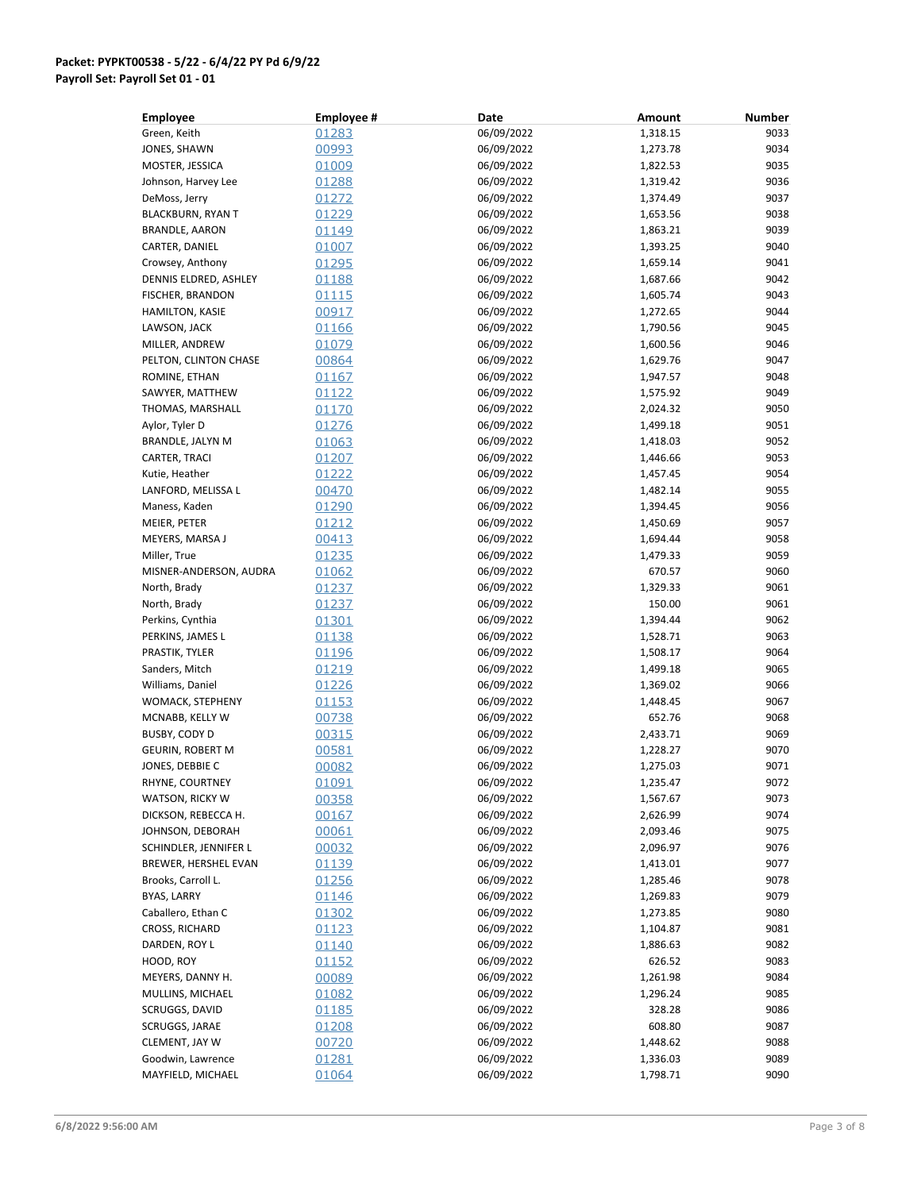| <b>Employee</b>          | <b>Employee#</b> | Date       | Amount   | <b>Number</b> |
|--------------------------|------------------|------------|----------|---------------|
| Green, Keith             | 01283            | 06/09/2022 | 1,318.15 | 9033          |
| JONES, SHAWN             | 00993            | 06/09/2022 | 1,273.78 | 9034          |
| MOSTER, JESSICA          | 01009            | 06/09/2022 | 1,822.53 | 9035          |
| Johnson, Harvey Lee      | 01288            | 06/09/2022 | 1,319.42 | 9036          |
| DeMoss, Jerry            | 01272            | 06/09/2022 | 1,374.49 | 9037          |
| <b>BLACKBURN, RYAN T</b> | 01229            | 06/09/2022 | 1,653.56 | 9038          |
| <b>BRANDLE, AARON</b>    | 01149            | 06/09/2022 | 1,863.21 | 9039          |
| CARTER, DANIEL           | 01007            | 06/09/2022 | 1,393.25 | 9040          |
| Crowsey, Anthony         | 01295            | 06/09/2022 | 1,659.14 | 9041          |
| DENNIS ELDRED, ASHLEY    | 01188            | 06/09/2022 | 1,687.66 | 9042          |
| FISCHER, BRANDON         | 01115            | 06/09/2022 | 1,605.74 | 9043          |
| <b>HAMILTON, KASIE</b>   | 00917            | 06/09/2022 | 1,272.65 | 9044          |
| LAWSON, JACK             | 01166            | 06/09/2022 |          | 9045          |
|                          |                  | 06/09/2022 | 1,790.56 | 9046          |
| MILLER, ANDREW           | 01079            |            | 1,600.56 |               |
| PELTON, CLINTON CHASE    | 00864            | 06/09/2022 | 1,629.76 | 9047          |
| ROMINE, ETHAN            | 01167            | 06/09/2022 | 1,947.57 | 9048          |
| SAWYER, MATTHEW          | 01122            | 06/09/2022 | 1,575.92 | 9049          |
| THOMAS, MARSHALL         | 01170            | 06/09/2022 | 2,024.32 | 9050          |
| Aylor, Tyler D           | 01276            | 06/09/2022 | 1,499.18 | 9051          |
| BRANDLE, JALYN M         | 01063            | 06/09/2022 | 1,418.03 | 9052          |
| CARTER, TRACI            | 01207            | 06/09/2022 | 1,446.66 | 9053          |
| Kutie, Heather           | 01222            | 06/09/2022 | 1,457.45 | 9054          |
| LANFORD, MELISSA L       | 00470            | 06/09/2022 | 1,482.14 | 9055          |
| Maness, Kaden            | 01290            | 06/09/2022 | 1,394.45 | 9056          |
| MEIER, PETER             | 01212            | 06/09/2022 | 1,450.69 | 9057          |
| MEYERS, MARSA J          | 00413            | 06/09/2022 | 1,694.44 | 9058          |
| Miller, True             | 01235            | 06/09/2022 | 1,479.33 | 9059          |
| MISNER-ANDERSON, AUDRA   | 01062            | 06/09/2022 | 670.57   | 9060          |
| North, Brady             | 01237            | 06/09/2022 | 1,329.33 | 9061          |
| North, Brady             | 01237            | 06/09/2022 | 150.00   | 9061          |
| Perkins, Cynthia         | 01301            | 06/09/2022 | 1,394.44 | 9062          |
| PERKINS, JAMES L         | 01138            | 06/09/2022 | 1,528.71 | 9063          |
| PRASTIK, TYLER           | 01196            | 06/09/2022 | 1,508.17 | 9064          |
| Sanders, Mitch           | 01219            | 06/09/2022 | 1,499.18 | 9065          |
| Williams, Daniel         | 01226            | 06/09/2022 | 1,369.02 | 9066          |
| WOMACK, STEPHENY         | 01153            | 06/09/2022 | 1,448.45 | 9067          |
| MCNABB, KELLY W          | 00738            | 06/09/2022 | 652.76   | 9068          |
|                          |                  | 06/09/2022 | 2,433.71 | 9069          |
| BUSBY, CODY D            | 00315            | 06/09/2022 |          |               |
| <b>GEURIN, ROBERT M</b>  | 00581            |            | 1,228.27 | 9070          |
| JONES, DEBBIE C          | 00082            | 06/09/2022 | 1,275.03 | 9071          |
| RHYNE, COURTNEY          | 01091            | 06/09/2022 | 1,235.47 | 9072          |
| <b>WATSON, RICKY W</b>   | 00358            | 06/09/2022 | 1,567.67 | 9073          |
| DICKSON, REBECCA H.      | 00167            | 06/09/2022 | 2,626.99 | 9074          |
| JOHNSON, DEBORAH         | 00061            | 06/09/2022 | 2,093.46 | 9075          |
| SCHINDLER, JENNIFER L    | 00032            | 06/09/2022 | 2,096.97 | 9076          |
| BREWER, HERSHEL EVAN     | 01139            | 06/09/2022 | 1,413.01 | 9077          |
| Brooks, Carroll L.       | 01256            | 06/09/2022 | 1,285.46 | 9078          |
| BYAS, LARRY              | 01146            | 06/09/2022 | 1,269.83 | 9079          |
| Caballero, Ethan C       | <u>01302</u>     | 06/09/2022 | 1,273.85 | 9080          |
| CROSS, RICHARD           | 01123            | 06/09/2022 | 1,104.87 | 9081          |
| DARDEN, ROY L            | 01140            | 06/09/2022 | 1,886.63 | 9082          |
| HOOD, ROY                | 01152            | 06/09/2022 | 626.52   | 9083          |
| MEYERS, DANNY H.         | 00089            | 06/09/2022 | 1,261.98 | 9084          |
| MULLINS, MICHAEL         | 01082            | 06/09/2022 | 1,296.24 | 9085          |
| SCRUGGS, DAVID           | <u>01185</u>     | 06/09/2022 | 328.28   | 9086          |
| SCRUGGS, JARAE           | 01208            | 06/09/2022 | 608.80   | 9087          |
| CLEMENT, JAY W           | 00720            | 06/09/2022 | 1,448.62 | 9088          |
| Goodwin, Lawrence        | 01281            | 06/09/2022 | 1,336.03 | 9089          |
| MAYFIELD, MICHAEL        | 01064            | 06/09/2022 | 1,798.71 | 9090          |
|                          |                  |            |          |               |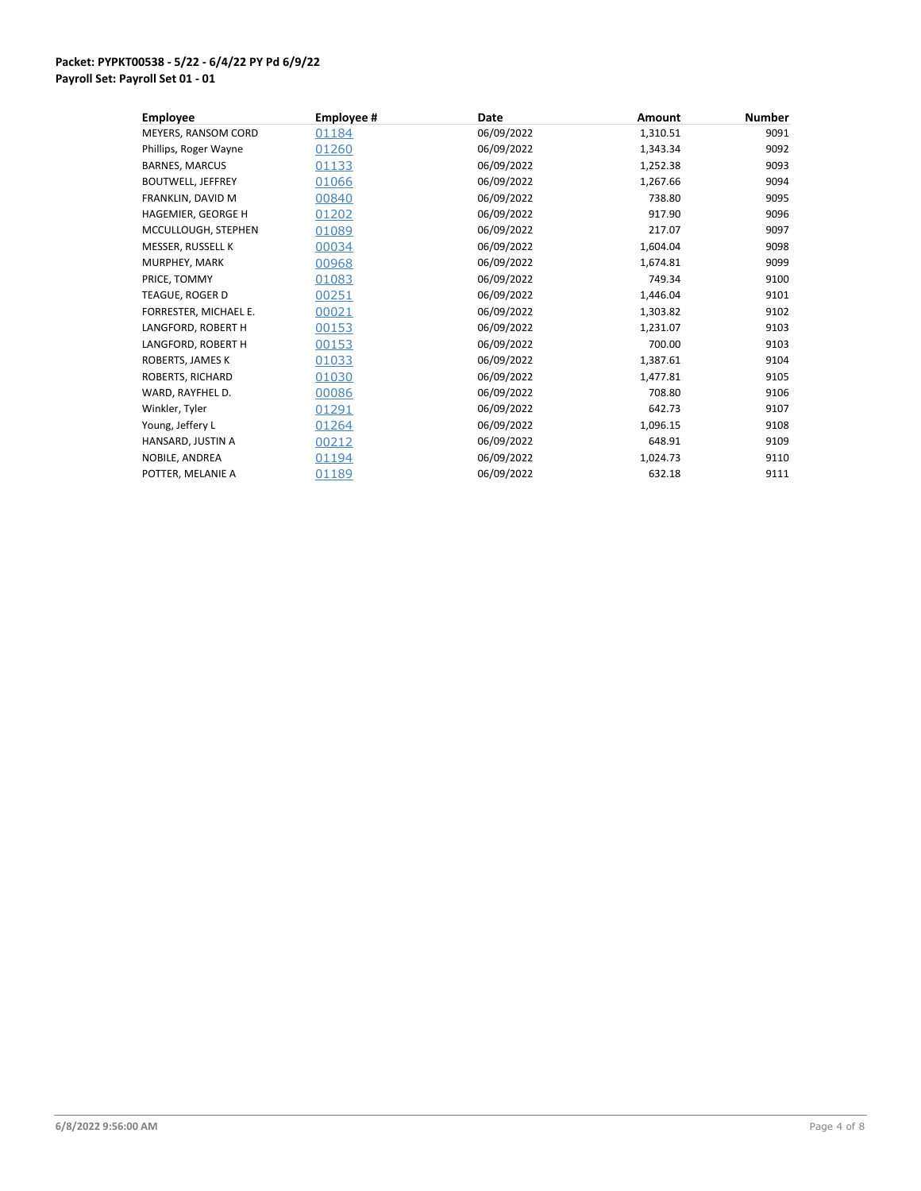| <b>Employee</b>          | Employee # | Date       | <b>Amount</b> | <b>Number</b> |
|--------------------------|------------|------------|---------------|---------------|
| MEYERS, RANSOM CORD      | 01184      | 06/09/2022 | 1,310.51      | 9091          |
| Phillips, Roger Wayne    | 01260      | 06/09/2022 | 1,343.34      | 9092          |
| <b>BARNES, MARCUS</b>    | 01133      | 06/09/2022 | 1,252.38      | 9093          |
| <b>BOUTWELL, JEFFREY</b> | 01066      | 06/09/2022 | 1,267.66      | 9094          |
| FRANKLIN, DAVID M        | 00840      | 06/09/2022 | 738.80        | 9095          |
| HAGEMIER, GEORGE H       | 01202      | 06/09/2022 | 917.90        | 9096          |
| MCCULLOUGH, STEPHEN      | 01089      | 06/09/2022 | 217.07        | 9097          |
| MESSER, RUSSELL K        | 00034      | 06/09/2022 | 1,604.04      | 9098          |
| MURPHEY, MARK            | 00968      | 06/09/2022 | 1,674.81      | 9099          |
| PRICE, TOMMY             | 01083      | 06/09/2022 | 749.34        | 9100          |
| TEAGUE, ROGER D          | 00251      | 06/09/2022 | 1,446.04      | 9101          |
| FORRESTER, MICHAEL E.    | 00021      | 06/09/2022 | 1,303.82      | 9102          |
| LANGFORD, ROBERT H       | 00153      | 06/09/2022 | 1,231.07      | 9103          |
| LANGFORD, ROBERT H       | 00153      | 06/09/2022 | 700.00        | 9103          |
| ROBERTS, JAMES K         | 01033      | 06/09/2022 | 1,387.61      | 9104          |
| ROBERTS, RICHARD         | 01030      | 06/09/2022 | 1,477.81      | 9105          |
| WARD, RAYFHEL D.         | 00086      | 06/09/2022 | 708.80        | 9106          |
| Winkler, Tyler           | 01291      | 06/09/2022 | 642.73        | 9107          |
| Young, Jeffery L         | 01264      | 06/09/2022 | 1,096.15      | 9108          |
| HANSARD, JUSTIN A        | 00212      | 06/09/2022 | 648.91        | 9109          |
| NOBILE, ANDREA           | 01194      | 06/09/2022 | 1,024.73      | 9110          |
| POTTER, MELANIE A        | 01189      | 06/09/2022 | 632.18        | 9111          |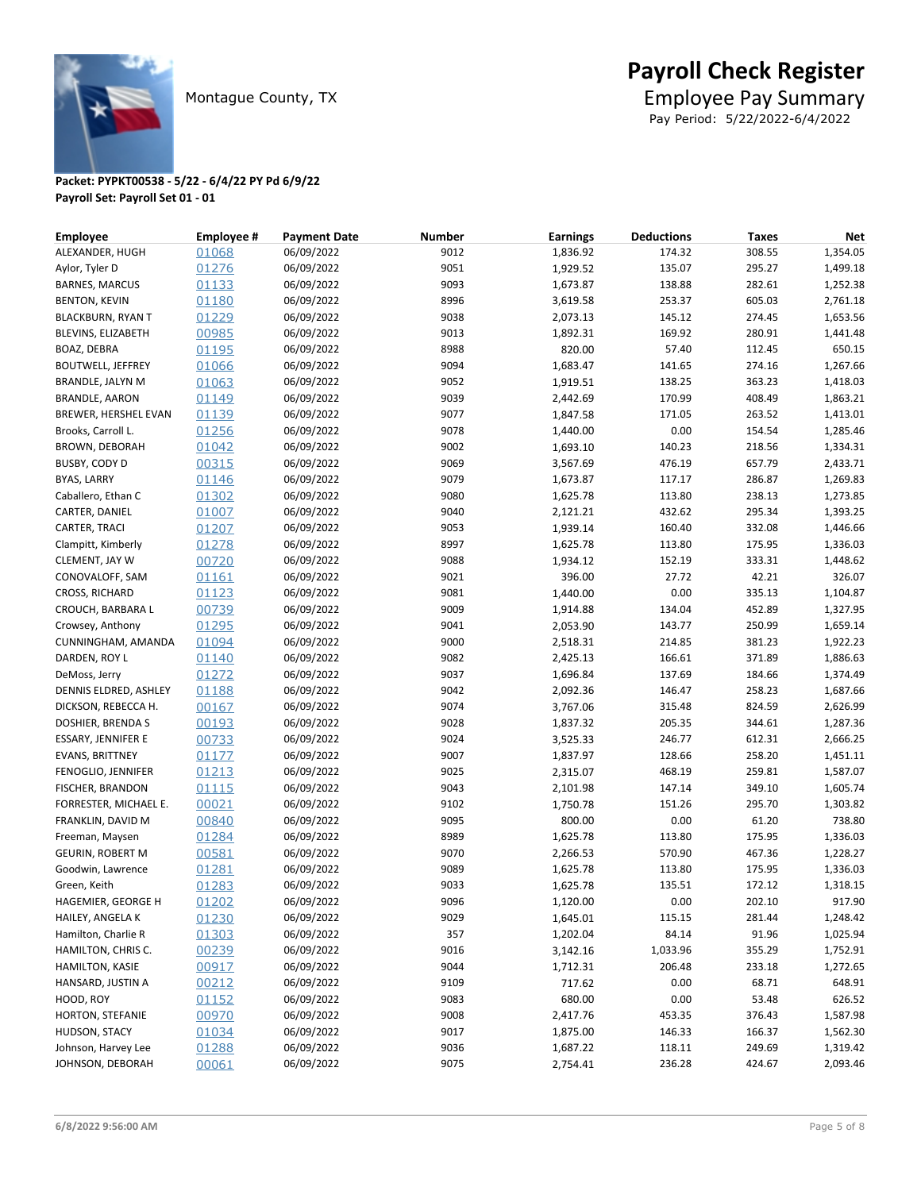

Pay Period: 5/22/2022-6/4/2022

| <b>Employee</b>           | <b>Employee #</b> | <b>Payment Date</b> | <b>Number</b> | <b>Earnings</b> | <b>Deductions</b> | <b>Taxes</b> | <b>Net</b> |
|---------------------------|-------------------|---------------------|---------------|-----------------|-------------------|--------------|------------|
| ALEXANDER, HUGH           | 01068             | 06/09/2022          | 9012          | 1,836.92        | 174.32            | 308.55       | 1,354.05   |
| Aylor, Tyler D            | 01276             | 06/09/2022          | 9051          | 1,929.52        | 135.07            | 295.27       | 1,499.18   |
| <b>BARNES, MARCUS</b>     | 01133             | 06/09/2022          | 9093          | 1,673.87        | 138.88            | 282.61       | 1,252.38   |
| <b>BENTON, KEVIN</b>      | 01180             | 06/09/2022          | 8996          | 3,619.58        | 253.37            | 605.03       | 2,761.18   |
| <b>BLACKBURN, RYAN T</b>  | 01229             | 06/09/2022          | 9038          | 2,073.13        | 145.12            | 274.45       | 1,653.56   |
| BLEVINS, ELIZABETH        | 00985             | 06/09/2022          | 9013          | 1,892.31        | 169.92            | 280.91       | 1,441.48   |
| BOAZ, DEBRA               | 01195             | 06/09/2022          | 8988          | 820.00          | 57.40             | 112.45       | 650.15     |
| <b>BOUTWELL, JEFFREY</b>  | 01066             | 06/09/2022          | 9094          | 1,683.47        | 141.65            | 274.16       | 1,267.66   |
| BRANDLE, JALYN M          | 01063             | 06/09/2022          | 9052          | 1,919.51        | 138.25            | 363.23       | 1,418.03   |
| <b>BRANDLE, AARON</b>     | 01149             | 06/09/2022          | 9039          | 2,442.69        | 170.99            | 408.49       | 1,863.21   |
| BREWER, HERSHEL EVAN      | 01139             | 06/09/2022          | 9077          | 1,847.58        | 171.05            | 263.52       | 1,413.01   |
| Brooks, Carroll L.        | 01256             | 06/09/2022          | 9078          | 1,440.00        | 0.00              | 154.54       | 1,285.46   |
| <b>BROWN, DEBORAH</b>     | 01042             | 06/09/2022          | 9002          | 1,693.10        | 140.23            | 218.56       | 1,334.31   |
| BUSBY, CODY D             | 00315             | 06/09/2022          | 9069          | 3,567.69        | 476.19            | 657.79       | 2,433.71   |
| <b>BYAS, LARRY</b>        | 01146             | 06/09/2022          | 9079          | 1,673.87        | 117.17            | 286.87       | 1,269.83   |
| Caballero, Ethan C        | 01302             | 06/09/2022          | 9080          | 1,625.78        | 113.80            | 238.13       | 1,273.85   |
| CARTER, DANIEL            | 01007             | 06/09/2022          | 9040          | 2,121.21        | 432.62            | 295.34       | 1,393.25   |
| CARTER, TRACI             | 01207             | 06/09/2022          | 9053          | 1,939.14        | 160.40            | 332.08       | 1,446.66   |
| Clampitt, Kimberly        | 01278             | 06/09/2022          | 8997          | 1,625.78        | 113.80            | 175.95       | 1,336.03   |
| CLEMENT, JAY W            | 00720             | 06/09/2022          | 9088          | 1,934.12        | 152.19            | 333.31       | 1,448.62   |
| CONOVALOFF, SAM           | 01161             | 06/09/2022          | 9021          | 396.00          | 27.72             | 42.21        | 326.07     |
| <b>CROSS, RICHARD</b>     | 01123             | 06/09/2022          | 9081          | 1,440.00        | 0.00              | 335.13       | 1,104.87   |
| CROUCH, BARBARA L         | 00739             | 06/09/2022          | 9009          | 1,914.88        | 134.04            | 452.89       | 1,327.95   |
| Crowsey, Anthony          | 01295             | 06/09/2022          | 9041          | 2,053.90        | 143.77            | 250.99       | 1,659.14   |
| CUNNINGHAM, AMANDA        | 01094             | 06/09/2022          | 9000          | 2,518.31        | 214.85            | 381.23       | 1,922.23   |
| DARDEN, ROY L             | 01140             | 06/09/2022          | 9082          | 2,425.13        | 166.61            | 371.89       | 1,886.63   |
| DeMoss, Jerry             | 01272             | 06/09/2022          | 9037          | 1,696.84        | 137.69            | 184.66       | 1,374.49   |
| DENNIS ELDRED, ASHLEY     | 01188             | 06/09/2022          | 9042          | 2,092.36        | 146.47            | 258.23       | 1,687.66   |
| DICKSON, REBECCA H.       | 00167             | 06/09/2022          | 9074          | 3,767.06        | 315.48            | 824.59       | 2,626.99   |
| DOSHIER, BRENDA S         | 00193             | 06/09/2022          | 9028          | 1,837.32        | 205.35            | 344.61       | 1,287.36   |
| <b>ESSARY, JENNIFER E</b> | 00733             | 06/09/2022          | 9024          | 3,525.33        | 246.77            | 612.31       | 2,666.25   |
| <b>EVANS, BRITTNEY</b>    | 01177             | 06/09/2022          | 9007          | 1,837.97        | 128.66            | 258.20       | 1,451.11   |
| FENOGLIO, JENNIFER        | 01213             | 06/09/2022          | 9025          | 2,315.07        | 468.19            | 259.81       | 1,587.07   |
| FISCHER, BRANDON          | 01115             | 06/09/2022          | 9043          | 2,101.98        | 147.14            | 349.10       | 1,605.74   |
| FORRESTER, MICHAEL E.     | 00021             | 06/09/2022          | 9102          | 1,750.78        | 151.26            | 295.70       | 1,303.82   |
| FRANKLIN, DAVID M         | 00840             | 06/09/2022          | 9095          | 800.00          | 0.00              | 61.20        | 738.80     |
| Freeman, Maysen           | 01284             | 06/09/2022          | 8989          | 1,625.78        | 113.80            | 175.95       | 1,336.03   |
| <b>GEURIN, ROBERT M</b>   | 00581             | 06/09/2022          | 9070          | 2,266.53        | 570.90            | 467.36       | 1,228.27   |
| Goodwin, Lawrence         | 01281             | 06/09/2022          | 9089          | 1,625.78        | 113.80            | 175.95       | 1,336.03   |
| Green, Keith              | 01283             | 06/09/2022          | 9033          | 1,625.78        | 135.51            | 172.12       | 1,318.15   |
| HAGEMIER, GEORGE H        | 01202             | 06/09/2022          | 9096          | 1,120.00        | 0.00              | 202.10       | 917.90     |
| HAILEY, ANGELA K          | 01230             | 06/09/2022          | 9029          | 1,645.01        | 115.15            | 281.44       | 1,248.42   |
| Hamilton, Charlie R       | 01303             | 06/09/2022          | 357           | 1,202.04        | 84.14             | 91.96        | 1,025.94   |
| HAMILTON, CHRIS C.        | 00239             | 06/09/2022          | 9016          | 3,142.16        | 1,033.96          | 355.29       | 1,752.91   |
| HAMILTON, KASIE           | 00917             | 06/09/2022          | 9044          | 1,712.31        | 206.48            | 233.18       | 1,272.65   |
| HANSARD, JUSTIN A         | 00212             | 06/09/2022          | 9109          | 717.62          | 0.00              | 68.71        | 648.91     |
| HOOD, ROY                 | 01152             | 06/09/2022          | 9083          | 680.00          | 0.00              | 53.48        | 626.52     |
| HORTON, STEFANIE          | 00970             | 06/09/2022          | 9008          | 2,417.76        | 453.35            | 376.43       | 1,587.98   |
| HUDSON, STACY             | 01034             | 06/09/2022          | 9017          | 1,875.00        | 146.33            | 166.37       | 1,562.30   |
| Johnson, Harvey Lee       | 01288             | 06/09/2022          | 9036          | 1,687.22        | 118.11            | 249.69       | 1,319.42   |
| JOHNSON, DEBORAH          | 00061             | 06/09/2022          | 9075          | 2,754.41        | 236.28            | 424.67       | 2,093.46   |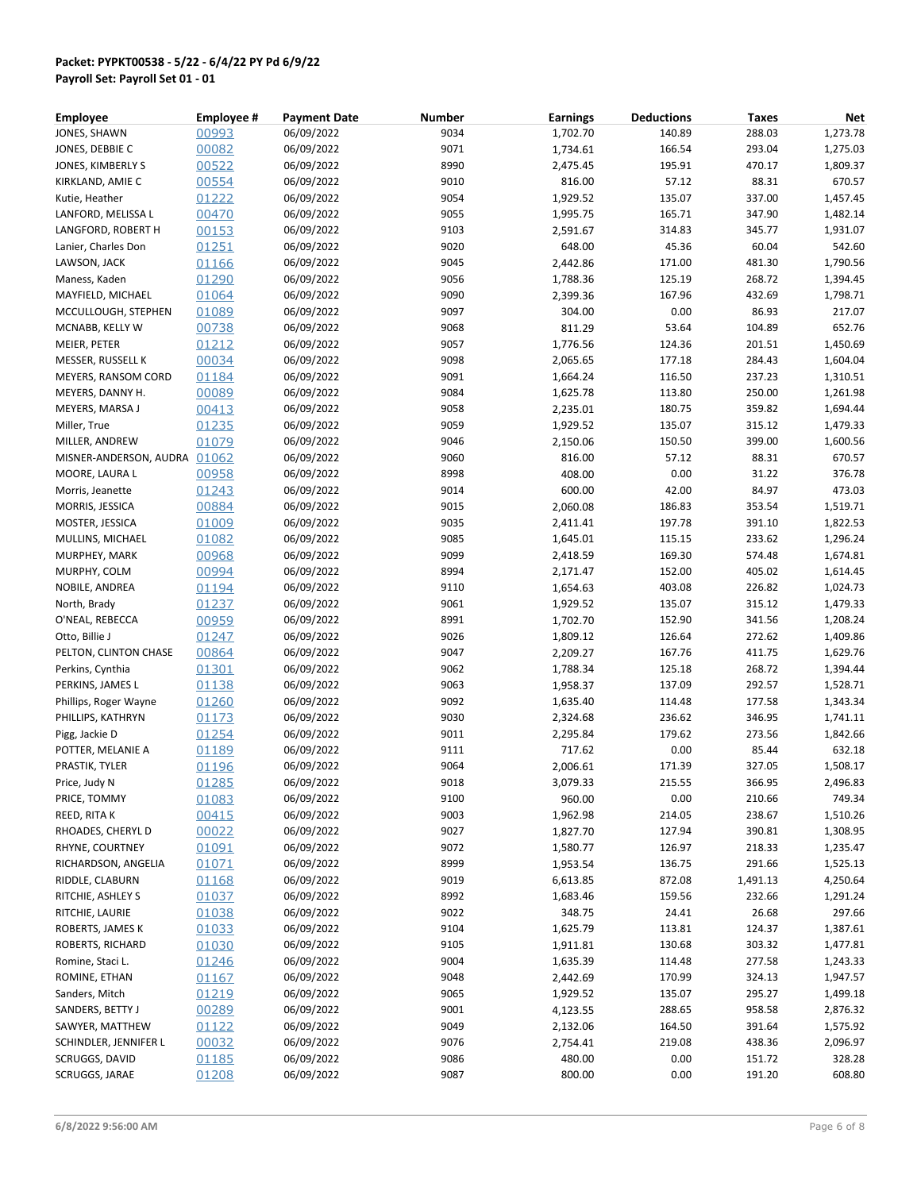| <b>Employee</b>              | <b>Employee #</b> | <b>Payment Date</b> | <b>Number</b> | <b>Earnings</b> | <b>Deductions</b> | <b>Taxes</b> | Net      |
|------------------------------|-------------------|---------------------|---------------|-----------------|-------------------|--------------|----------|
| JONES, SHAWN                 | 00993             | 06/09/2022          | 9034          | 1,702.70        | 140.89            | 288.03       | 1,273.78 |
| JONES, DEBBIE C              | 00082             | 06/09/2022          | 9071          | 1,734.61        | 166.54            | 293.04       | 1,275.03 |
| JONES, KIMBERLY S            | 00522             | 06/09/2022          | 8990          | 2,475.45        | 195.91            | 470.17       | 1,809.37 |
| KIRKLAND, AMIE C             | 00554             | 06/09/2022          | 9010          | 816.00          | 57.12             | 88.31        | 670.57   |
| Kutie, Heather               | 01222             | 06/09/2022          | 9054          | 1,929.52        | 135.07            | 337.00       | 1,457.45 |
| LANFORD, MELISSA L           | 00470             | 06/09/2022          | 9055          | 1,995.75        | 165.71            | 347.90       | 1,482.14 |
| LANGFORD, ROBERT H           | 00153             | 06/09/2022          | 9103          | 2,591.67        | 314.83            | 345.77       | 1,931.07 |
| Lanier, Charles Don          | 01251             | 06/09/2022          | 9020          | 648.00          | 45.36             | 60.04        | 542.60   |
| LAWSON, JACK                 | 01166             | 06/09/2022          | 9045          | 2,442.86        | 171.00            | 481.30       | 1,790.56 |
| Maness, Kaden                | 01290             | 06/09/2022          | 9056          | 1,788.36        | 125.19            | 268.72       | 1,394.45 |
| MAYFIELD, MICHAEL            | 01064             | 06/09/2022          | 9090          | 2,399.36        | 167.96            | 432.69       | 1,798.71 |
| MCCULLOUGH, STEPHEN          | 01089             | 06/09/2022          | 9097          | 304.00          | 0.00              | 86.93        | 217.07   |
| MCNABB, KELLY W              | 00738             | 06/09/2022          | 9068          | 811.29          | 53.64             | 104.89       | 652.76   |
| MEIER, PETER                 | 01212             | 06/09/2022          | 9057          | 1,776.56        | 124.36            | 201.51       | 1,450.69 |
| MESSER, RUSSELL K            | 00034             | 06/09/2022          | 9098          | 2,065.65        | 177.18            | 284.43       | 1,604.04 |
| MEYERS, RANSOM CORD          | 01184             | 06/09/2022          | 9091          | 1,664.24        | 116.50            | 237.23       | 1,310.51 |
| MEYERS, DANNY H.             | 00089             | 06/09/2022          | 9084          | 1,625.78        | 113.80            | 250.00       | 1,261.98 |
| MEYERS, MARSA J              | 00413             | 06/09/2022          | 9058          | 2,235.01        | 180.75            | 359.82       | 1,694.44 |
|                              |                   | 06/09/2022          | 9059          |                 | 135.07            |              |          |
| Miller, True                 | 01235             |                     |               | 1,929.52        |                   | 315.12       | 1,479.33 |
| MILLER, ANDREW               | 01079             | 06/09/2022          | 9046          | 2,150.06        | 150.50            | 399.00       | 1,600.56 |
| MISNER-ANDERSON, AUDRA 01062 |                   | 06/09/2022          | 9060          | 816.00          | 57.12             | 88.31        | 670.57   |
| MOORE, LAURA L               | 00958             | 06/09/2022          | 8998          | 408.00          | 0.00              | 31.22        | 376.78   |
| Morris, Jeanette             | 01243             | 06/09/2022          | 9014          | 600.00          | 42.00             | 84.97        | 473.03   |
| MORRIS, JESSICA              | 00884             | 06/09/2022          | 9015          | 2,060.08        | 186.83            | 353.54       | 1,519.71 |
| MOSTER, JESSICA              | 01009             | 06/09/2022          | 9035          | 2,411.41        | 197.78            | 391.10       | 1,822.53 |
| MULLINS, MICHAEL             | 01082             | 06/09/2022          | 9085          | 1,645.01        | 115.15            | 233.62       | 1,296.24 |
| MURPHEY, MARK                | 00968             | 06/09/2022          | 9099          | 2,418.59        | 169.30            | 574.48       | 1,674.81 |
| MURPHY, COLM                 | 00994             | 06/09/2022          | 8994          | 2,171.47        | 152.00            | 405.02       | 1,614.45 |
| NOBILE, ANDREA               | 01194             | 06/09/2022          | 9110          | 1,654.63        | 403.08            | 226.82       | 1,024.73 |
| North, Brady                 | 01237             | 06/09/2022          | 9061          | 1,929.52        | 135.07            | 315.12       | 1,479.33 |
| O'NEAL, REBECCA              | 00959             | 06/09/2022          | 8991          | 1,702.70        | 152.90            | 341.56       | 1,208.24 |
| Otto, Billie J               | 01247             | 06/09/2022          | 9026          | 1,809.12        | 126.64            | 272.62       | 1,409.86 |
| PELTON, CLINTON CHASE        | 00864             | 06/09/2022          | 9047          | 2,209.27        | 167.76            | 411.75       | 1,629.76 |
| Perkins, Cynthia             | 01301             | 06/09/2022          | 9062          | 1,788.34        | 125.18            | 268.72       | 1,394.44 |
| PERKINS, JAMES L             | 01138             | 06/09/2022          | 9063          | 1,958.37        | 137.09            | 292.57       | 1,528.71 |
| Phillips, Roger Wayne        | 01260             | 06/09/2022          | 9092          | 1,635.40        | 114.48            | 177.58       | 1,343.34 |
| PHILLIPS, KATHRYN            | 01173             | 06/09/2022          | 9030          | 2,324.68        | 236.62            | 346.95       | 1,741.11 |
| Pigg, Jackie D               | 01254             | 06/09/2022          | 9011          | 2,295.84        | 179.62            | 273.56       | 1,842.66 |
| POTTER, MELANIE A            | 01189             | 06/09/2022          | 9111          | 717.62          | 0.00              | 85.44        | 632.18   |
| PRASTIK, TYLER               | 01196             | 06/09/2022          | 9064          | 2,006.61        | 171.39            | 327.05       | 1,508.17 |
| Price, Judy N                | 01285             | 06/09/2022          | 9018          | 3,079.33        | 215.55            | 366.95       | 2,496.83 |
| PRICE, TOMMY                 | 01083             | 06/09/2022          | 9100          | 960.00          | 0.00              | 210.66       | 749.34   |
| REED, RITA K                 | 00415             | 06/09/2022          | 9003          | 1,962.98        | 214.05            | 238.67       | 1,510.26 |
| RHOADES, CHERYL D            | <u>00022</u>      | 06/09/2022          | 9027          | 1,827.70        | 127.94            | 390.81       | 1,308.95 |
| RHYNE, COURTNEY              | 01091             | 06/09/2022          | 9072          | 1,580.77        | 126.97            | 218.33       | 1,235.47 |
| RICHARDSON, ANGELIA          | 01071             | 06/09/2022          | 8999          | 1,953.54        | 136.75            | 291.66       | 1,525.13 |
| RIDDLE, CLABURN              | 01168             | 06/09/2022          | 9019          | 6,613.85        | 872.08            | 1,491.13     | 4,250.64 |
| RITCHIE, ASHLEY S            | 01037             | 06/09/2022          | 8992          | 1,683.46        | 159.56            | 232.66       | 1,291.24 |
| RITCHIE, LAURIE              | 01038             | 06/09/2022          | 9022          | 348.75          | 24.41             | 26.68        | 297.66   |
| ROBERTS, JAMES K             | 01033             | 06/09/2022          | 9104          | 1,625.79        | 113.81            | 124.37       | 1,387.61 |
| ROBERTS, RICHARD             | 01030             | 06/09/2022          | 9105          | 1,911.81        | 130.68            | 303.32       | 1,477.81 |
| Romine, Staci L.             | 01246             | 06/09/2022          | 9004          | 1,635.39        | 114.48            | 277.58       | 1,243.33 |
| ROMINE, ETHAN                | 01167             | 06/09/2022          | 9048          | 2,442.69        | 170.99            | 324.13       | 1,947.57 |
| Sanders, Mitch               | <u>01219</u>      | 06/09/2022          | 9065          | 1,929.52        | 135.07            | 295.27       | 1,499.18 |
| SANDERS, BETTY J             | 00289             | 06/09/2022          | 9001          | 4,123.55        | 288.65            | 958.58       | 2,876.32 |
| SAWYER, MATTHEW              | 01122             | 06/09/2022          | 9049          | 2,132.06        | 164.50            | 391.64       | 1,575.92 |
| SCHINDLER, JENNIFER L        | 00032             | 06/09/2022          | 9076          | 2,754.41        | 219.08            | 438.36       | 2,096.97 |
| SCRUGGS, DAVID               | 01185             | 06/09/2022          | 9086          | 480.00          | 0.00              | 151.72       | 328.28   |
| SCRUGGS, JARAE               | 01208             | 06/09/2022          | 9087          | 800.00          | 0.00              | 191.20       | 608.80   |
|                              |                   |                     |               |                 |                   |              |          |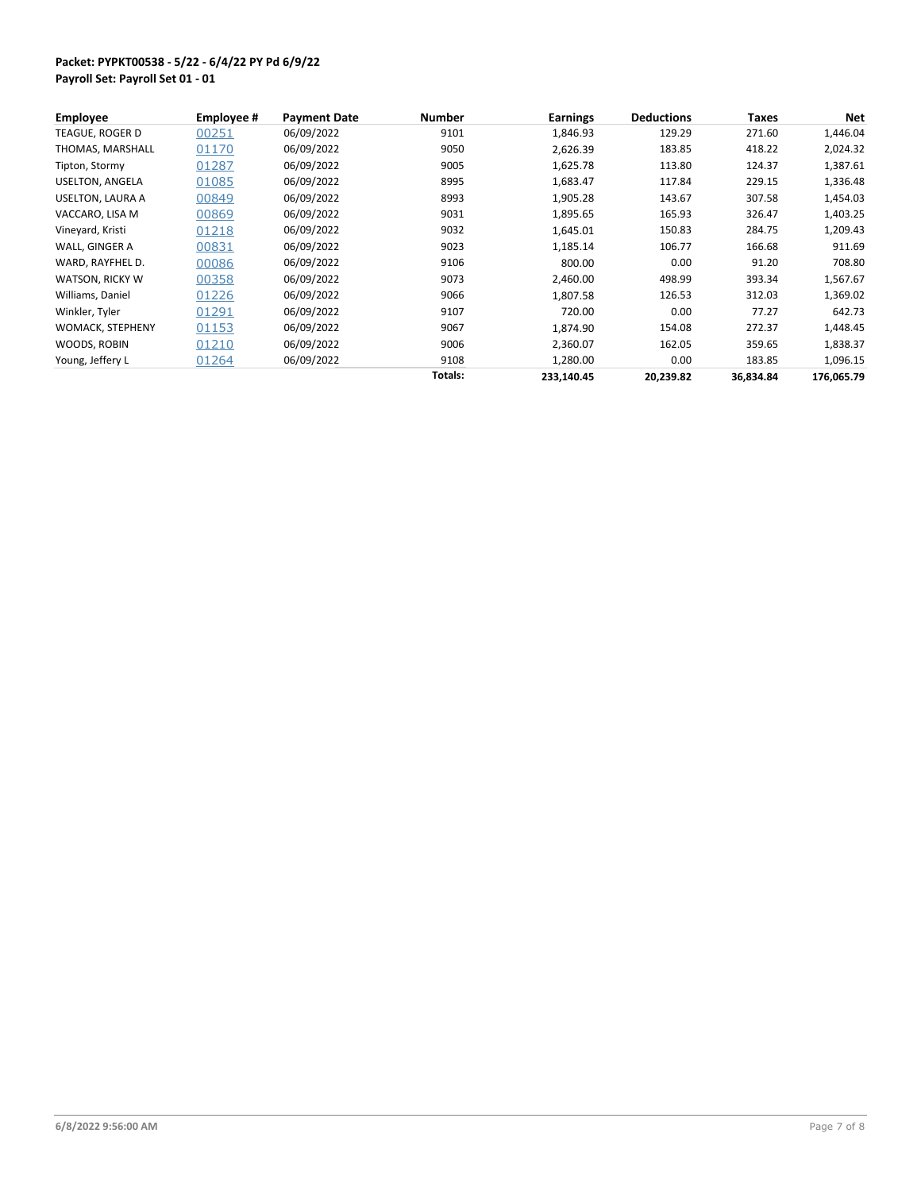| <b>Employee</b>        | Employee # | <b>Payment Date</b> | <b>Number</b> | <b>Earnings</b> | <b>Deductions</b> | <b>Taxes</b> | Net        |
|------------------------|------------|---------------------|---------------|-----------------|-------------------|--------------|------------|
| TEAGUE, ROGER D        | 00251      | 06/09/2022          | 9101          | 1,846.93        | 129.29            | 271.60       | 1,446.04   |
| THOMAS, MARSHALL       | 01170      | 06/09/2022          | 9050          | 2,626.39        | 183.85            | 418.22       | 2,024.32   |
| Tipton, Stormy         | 01287      | 06/09/2022          | 9005          | 1,625.78        | 113.80            | 124.37       | 1,387.61   |
| USELTON, ANGELA        | 01085      | 06/09/2022          | 8995          | 1,683.47        | 117.84            | 229.15       | 1,336.48   |
| USELTON, LAURA A       | 00849      | 06/09/2022          | 8993          | 1,905.28        | 143.67            | 307.58       | 1,454.03   |
| VACCARO, LISA M        | 00869      | 06/09/2022          | 9031          | 1,895.65        | 165.93            | 326.47       | 1,403.25   |
| Vineyard, Kristi       | 01218      | 06/09/2022          | 9032          | 1,645.01        | 150.83            | 284.75       | 1,209.43   |
| WALL, GINGER A         | 00831      | 06/09/2022          | 9023          | 1,185.14        | 106.77            | 166.68       | 911.69     |
| WARD, RAYFHEL D.       | 00086      | 06/09/2022          | 9106          | 800.00          | 0.00              | 91.20        | 708.80     |
| <b>WATSON, RICKY W</b> | 00358      | 06/09/2022          | 9073          | 2,460.00        | 498.99            | 393.34       | 1,567.67   |
| Williams, Daniel       | 01226      | 06/09/2022          | 9066          | 1.807.58        | 126.53            | 312.03       | 1,369.02   |
| Winkler, Tyler         | 01291      | 06/09/2022          | 9107          | 720.00          | 0.00              | 77.27        | 642.73     |
| WOMACK, STEPHENY       | 01153      | 06/09/2022          | 9067          | 1,874.90        | 154.08            | 272.37       | 1,448.45   |
| WOODS, ROBIN           | 01210      | 06/09/2022          | 9006          | 2,360.07        | 162.05            | 359.65       | 1,838.37   |
| Young, Jeffery L       | 01264      | 06/09/2022          | 9108          | 1,280.00        | 0.00              | 183.85       | 1,096.15   |
|                        |            |                     | Totals:       | 233,140.45      | 20,239.82         | 36,834.84    | 176,065.79 |